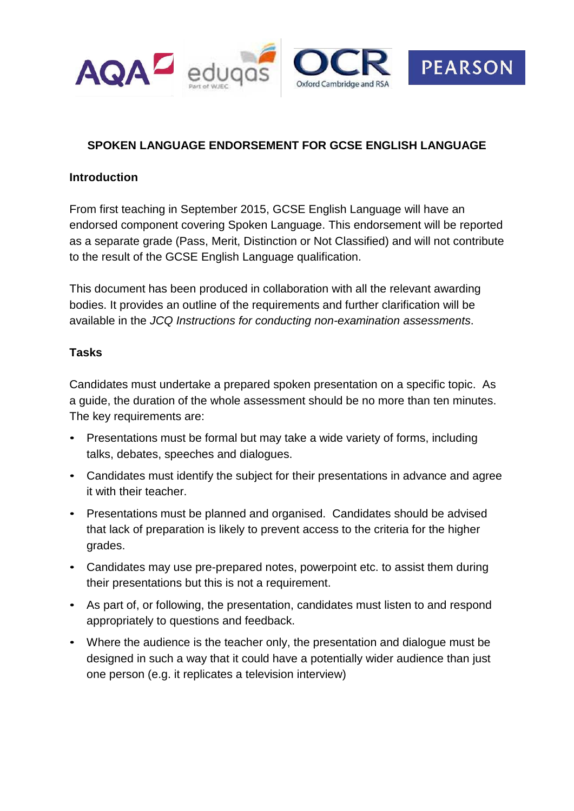

## **SPOKEN LANGUAGE ENDORSEMENT FOR GCSE ENGLISH LANGUAGE**

### **Introduction**

From first teaching in September 2015, GCSE English Language will have an endorsed component covering Spoken Language. This endorsement will be reported as a separate grade (Pass, Merit, Distinction or Not Classified) and will not contribute to the result of the GCSE English Language qualification.

This document has been produced in collaboration with all the relevant awarding bodies. It provides an outline of the requirements and further clarification will be available in the *JCQ Instructions for conducting non-examination assessments*.

#### **Tasks**

Candidates must undertake a prepared spoken presentation on a specific topic. As a guide, the duration of the whole assessment should be no more than ten minutes. The key requirements are:

- Presentations must be formal but may take a wide variety of forms, including talks, debates, speeches and dialogues.
- Candidates must identify the subject for their presentations in advance and agree it with their teacher.
- Presentations must be planned and organised. Candidates should be advised that lack of preparation is likely to prevent access to the criteria for the higher grades.
- Candidates may use pre-prepared notes, powerpoint etc. to assist them during their presentations but this is not a requirement.
- As part of, or following, the presentation, candidates must listen to and respond appropriately to questions and feedback.
- Where the audience is the teacher only, the presentation and dialogue must be designed in such a way that it could have a potentially wider audience than just one person (e.g. it replicates a television interview)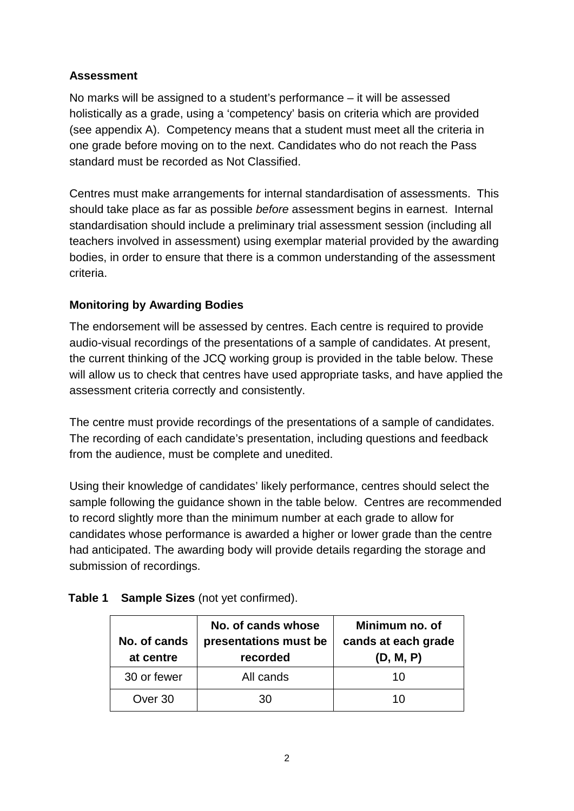# **Assessment**

No marks will be assigned to a student's performance – it will be assessed holistically as a grade, using a 'competency' basis on criteria which are provided (see appendix A). Competency means that a student must meet all the criteria in one grade before moving on to the next. Candidates who do not reach the Pass standard must be recorded as Not Classified.

Centres must make arrangements for internal standardisation of assessments. This should take place as far as possible *before* assessment begins in earnest. Internal standardisation should include a preliminary trial assessment session (including all teachers involved in assessment) using exemplar material provided by the awarding bodies, in order to ensure that there is a common understanding of the assessment criteria.

# **Monitoring by Awarding Bodies**

The endorsement will be assessed by centres. Each centre is required to provide audio-visual recordings of the presentations of a sample of candidates. At present, the current thinking of the JCQ working group is provided in the table below. These will allow us to check that centres have used appropriate tasks, and have applied the assessment criteria correctly and consistently.

The centre must provide recordings of the presentations of a sample of candidates. The recording of each candidate's presentation, including questions and feedback from the audience, must be complete and unedited.

Using their knowledge of candidates' likely performance, centres should select the sample following the guidance shown in the table below. Centres are recommended to record slightly more than the minimum number at each grade to allow for candidates whose performance is awarded a higher or lower grade than the centre had anticipated. The awarding body will provide details regarding the storage and submission of recordings.

| No. of cands<br>at centre | No. of cands whose<br>presentations must be<br>recorded | Minimum no. of<br>cands at each grade<br>(D, M, P) |
|---------------------------|---------------------------------------------------------|----------------------------------------------------|
| 30 or fewer               | All cands                                               | 10                                                 |
| Over 30                   | 30                                                      | 10                                                 |

### **Table 1 Sample Sizes** (not yet confirmed).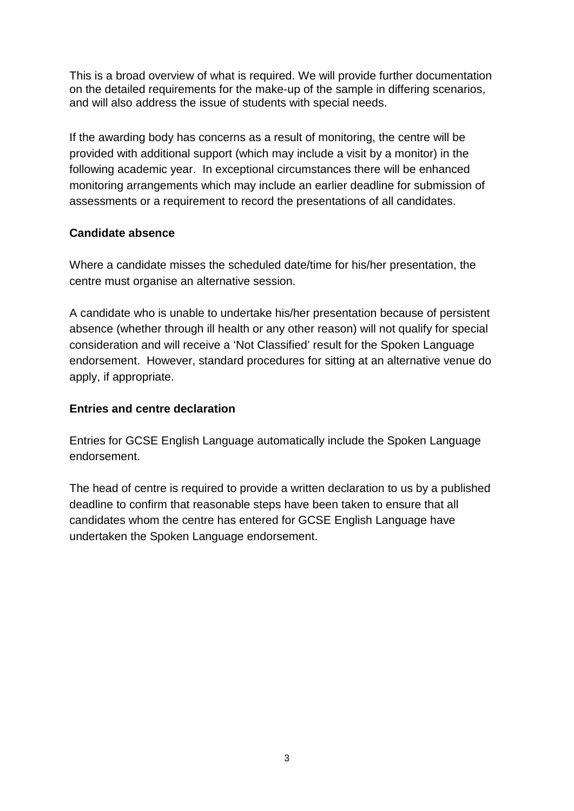This is a broad overview of what is required. We will provide further documentation on the detailed requirements for the make-up of the sample in differing scenarios, and will also address the issue of students with special needs.

If the awarding body has concerns as a result of monitoring, the centre will be provided with additional support (which may include a visit by a monitor) in the following academic year. In exceptional circumstances there will be enhanced monitoring arrangements which may include an earlier deadline for submission of assessments or a requirement to record the presentations of all candidates.

### **Candidate absence**

Where a candidate misses the scheduled date/time for his/her presentation, the centre must organise an alternative session.

A candidate who is unable to undertake his/her presentation because of persistent absence (whether through ill health or any other reason) will not qualify for special consideration and will receive a 'Not Classified' result for the Spoken Language endorsement. However, standard procedures for sitting at an alternative venue do apply, if appropriate.

### **Entries and centre declaration**

Entries for GCSE English Language automatically include the Spoken Language endorsement.

The head of centre is required to provide a written declaration to us by a published deadline to confirm that reasonable steps have been taken to ensure that all candidates whom the centre has entered for GCSE English Language have undertaken the Spoken Language endorsement.